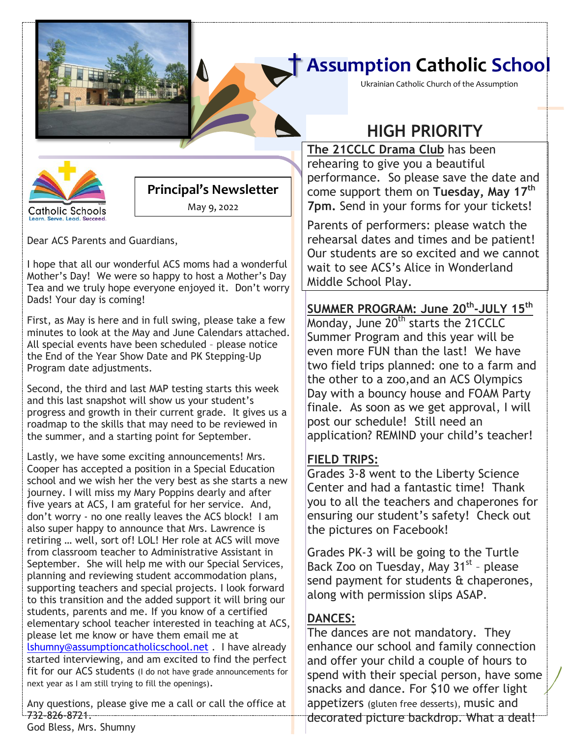## † **Assumption Catholic School**

Ukrainian Catholic Church of the Assumption



### **Principal's Newsletter**

May 9, 2022

Dear ACS Parents and Guardians,

I hope that all our wonderful ACS moms had a wonderful Mother's Day! We were so happy to host a Mother's Day Tea and we truly hope everyone enjoyed it. Don't worry Dads! Your day is coming!

First, as May is here and in full swing, please take a few minutes to look at the May and June Calendars attached. All special events have been scheduled – please notice the End of the Year Show Date and PK Stepping-Up Program date adjustments.

Second, the third and last MAP testing starts this week and this last snapshot will show us your student's progress and growth in their current grade. It gives us a roadmap to the skills that may need to be reviewed in the summer, and a starting point for September.

Lastly, we have some exciting announcements! Mrs. Cooper has accepted a position in a Special Education school and we wish her the very best as she starts a new journey. I will miss my Mary Poppins dearly and after five years at ACS, I am grateful for her service. And, don't worry - no one really leaves the ACS block! I am also super happy to announce that Mrs. Lawrence is retiring … well, sort of! LOL! Her role at ACS will move from classroom teacher to Administrative Assistant in September. She will help me with our Special Services, planning and reviewing student accommodation plans, supporting teachers and special projects. I look forward to this transition and the added support it will bring our students, parents and me. If you know of a certified elementary school teacher interested in teaching at ACS, please let me know or have them email me at [lshumny@assumptioncatholicschool.net](mailto:lshumny@assumptioncatholicschool.net) . I have already started interviewing, and am excited to find the perfect fit for our ACS students (I do not have grade announcements for next year as I am still trying to fill the openings).

Any questions, please give me a call or call the office at 732-826-8721.

### **HIGH PRIORITY**

**[Date] The 21CCLC Drama Club** has been rehearing to give you a beautiful performance. So please save the date and come support them on **Tuesday, May 17th 7pm.** Send in your forms for your tickets!

Parents of performers: please watch the rehearsal dates and times and be patient! Our students are so excited and we cannot wait to see ACS's Alice in Wonderland Middle School Play.

#### **SUMMER PROGRAM: June 20th -JULY 15th**

Monday, June 20<sup>th</sup> starts the 21CCLC Summer Program and this year will be even more FUN than the last! We have two field trips planned: one to a farm and the other to a zoo,and an ACS Olympics Day with a bouncy house and FOAM Party finale. As soon as we get approval, I will post our schedule! Still need an application? REMIND your child's teacher!

#### **FIELD TRIPS:**

Grades 3-8 went to the Liberty Science Center and had a fantastic time! Thank you to all the teachers and chaperones for ensuring our student's safety! Check out the pictures on Facebook!

Grades PK-3 will be going to the Turtle Back Zoo on Tuesday, May 31<sup>st</sup> - please send payment for students & chaperones, along with permission slips ASAP.

#### **DANCES:**

The dances are not mandatory. They enhance our school and family connection and offer your child a couple of hours to spend with their special person, have some snacks and dance. For \$10 we offer light appetizers (gluten free desserts), music and decorated picture backdrop. What a deal!

God Bless, Mrs. Shumny